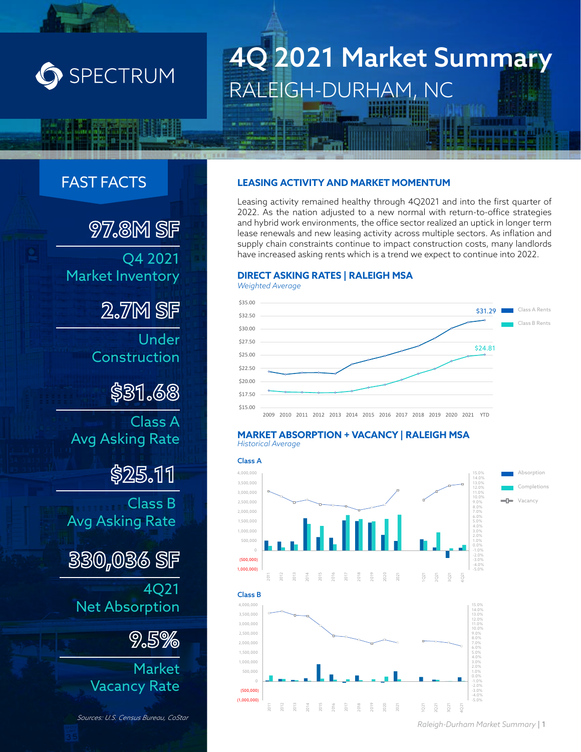

# 4Q 2021 Market Summary RALEIGH-DURHAM, NC

# FAST FACTS

**97.8M SF** Q4 2021 Market Inventory

**2.7M SF**

Under Construction

**\$31.68**

Class A Avg Asking Rate

**\$25.11**

Class B Avg Asking Rate

**330,036 SF**

4Q21 Net Absorption

**9.5%**

Market Vacancy Rate

*Sources: U.S. Census Bureau, CoStar*

#### **LEASING ACTIVITY AND MARKET MOMENTUM**

Leasing activity remained healthy through 4Q2021 and into the first quarter of 2022. As the nation adjusted to a new normal with return-to-office strategies and hybrid work environments, the office sector realized an uptick in longer term lease renewals and new leasing activity across multiple sectors. As inflation and supply chain constraints continue to impact construction costs, many landlords have increased asking rents which is a trend we expect to continue into 2022.

#### **DIRECT ASKING RATES | RALEIGH MSA**



#### **MARKET ABSORPTION + VACANCY | RALEIGH MSA** *Historical Average*



*Raleigh-Durham Market Summary* | 1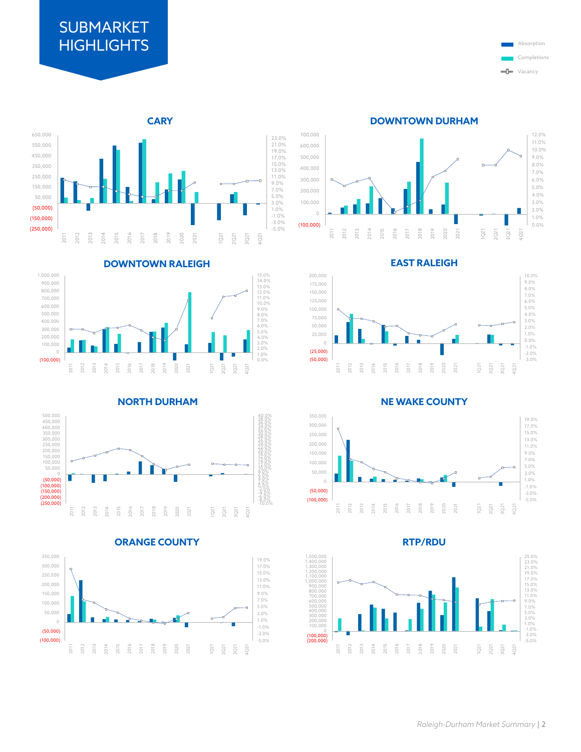# **SUBMARKET HIGHLIGHTS**





**DOWNTOWN RALEIGH**















**EAST RALEIGH**



**NE WAKE COUNTY**



**RTP/RDU**

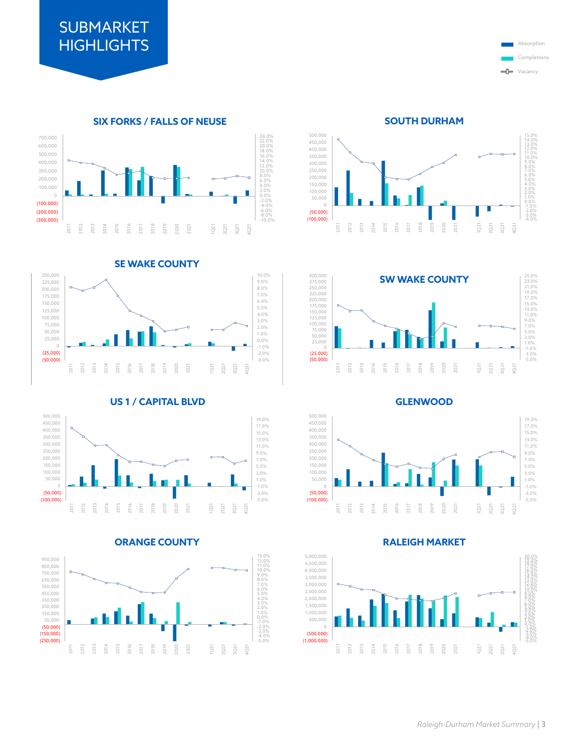Completions **ULL** Vacancy

#### **SIX FORKS / FALLS OF NEUSE** 22.0%<br>16.0%<br>16.0%<br>16.0%<br>10.0%<br>6.0%<br>4.0%<br>0.0%<br>2.0%<br>0.0%<br>2.0%<br>4.0%<br>4.0%<br>4.0%<br>4.0% (300,000) (200,000) (100,000) 0 100,000 200,000 300,000 400,000 500,000 600,000 700,000 2011 2012 2013 2014 2015 2016 2017 2018 2019 2020 2021 1Q21 2Q21 3Q21 4Q21

**SE WAKE COUNTY**



#### **US 1 / CAPITAL BLVD**







**SOUTH DURHAM**





**GLENWOOD**



#### **RALEIGH MARKET**

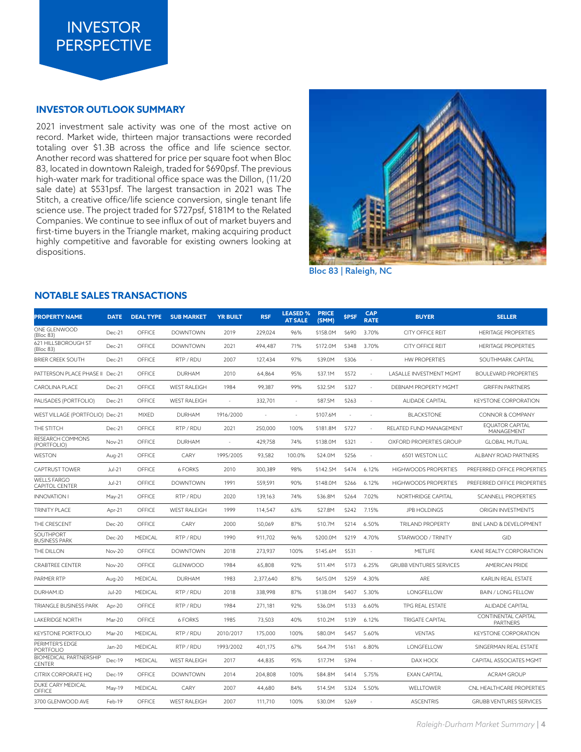

#### **INVESTOR OUTLOOK SUMMARY**

2021 investment sale activity was one of the most active on record. Market wide, thirteen major transactions were recorded totaling over \$1.3B across the office and life science sector. Another record was shattered for price per square foot when Bloc 83, located in downtown Raleigh, traded for \$690psf. The previous high-water mark for traditional office space was the Dillon, (11/20 sale date) at \$531psf. The largest transaction in 2021 was The Stitch, a creative office/life science conversion, single tenant life science use. The project traded for \$727psf, \$181M to the Related Companies. We continue to see influx of out of market buyers and first-time buyers in the Triangle market, making acquiring product highly competitive and favorable for existing owners looking at dispositions.



Bloc 83 | Raleigh, NC

#### **NOTABLE SALES TRANSACTIONS**

| <b>PROPERTY NAME</b>                        | <b>DATE</b>   | <b>DEAL TYPE</b> | <b>SUB MARKET</b>   | <b>YR BUILT</b> | <b>RSF</b> | <b>LEASED %</b><br><b>AT SALE</b> | <b>PRICE</b><br>(SMM) | <b>SPSF</b> | <b>CAP</b><br><b>RATE</b> | <b>BUYER</b>                   | <b>SELLER</b>                          |
|---------------------------------------------|---------------|------------------|---------------------|-----------------|------------|-----------------------------------|-----------------------|-------------|---------------------------|--------------------------------|----------------------------------------|
| ONE GLENWOOD<br>(Bloc 83)                   | Dec-21        | OFFICE           | <b>DOWNTOWN</b>     | 2019            | 229,024    | 96%                               | \$158.0M              | \$690       | 3.70%                     | <b>CITY OFFICE REIT</b>        | <b>HERITAGE PROPERTIES</b>             |
| 621 HILLSBOROUGH ST<br>(Bloc 83)            | Dec-21        | OFFICE           | <b>DOWNTOWN</b>     | 2021            | 494.487    | 71%                               | \$172.0M              | \$348       | 3.70%                     | <b>CITY OFFICE REIT</b>        | <b>HERITAGE PROPERTIES</b>             |
| <b>BRIER CREEK SOUTH</b>                    | Dec-21        | OFFICE           | RTP / RDU           | 2007            | 127,434    | 97%                               | \$39.0M               | \$306       |                           | <b>HW PROPERTIES</b>           | SOUTHMARK CAPITAL                      |
| PATTERSON PLACE PHASE II Dec-21             |               | OFFICE           | <b>DURHAM</b>       | 2010            | 64,864     | 95%                               | \$37.1M               | \$572       | ×.                        | <b>LASALLE INVESTMENT MGMT</b> | <b>BOULEVARD PROPERTIES</b>            |
| <b>CAROLINA PLACE</b>                       | Dec-21        | OFFICE           | <b>WEST RALEIGH</b> | 1984            | 99,387     | 99%                               | \$32.5M               | \$327       | $\sim$                    | DEBNAM PROPERTY MGMT           | <b>GRIFFIN PARTNERS</b>                |
| PALISADES (PORTFOLIO)                       | Dec-21        | OFFICE           | <b>WEST RALEIGH</b> | ä,              | 332.701    | $\sim$                            | \$87.5M               | \$263       | ×,                        | <b>ALIDADE CAPITAL</b>         | <b>KEYSTONE CORPORATION</b>            |
| WEST VILLAGE (PORTFOLIO) Dec-21             |               | <b>MIXED</b>     | <b>DURHAM</b>       | 1916/2000       |            | ٠                                 | \$107.6M              |             | $\sim$                    | <b>BLACKSTONE</b>              | <b>CONNOR &amp; COMPANY</b>            |
| THE STITCH                                  | Dec-21        | OFFICE           | RTP / RDU           | 2021            | 250,000    | 100%                              | \$181.8M              | \$727       | ×,                        | RELATED FUND MANAGEMENT        | <b>EOUATOR CAPITAL</b><br>MANAGEMENT   |
| RESEARCH COMMONS<br>(PORTFOLIO)             | Nov-21        | OFFICE           | <b>DURHAM</b>       |                 | 429,758    | 74%                               | \$138.0M              | \$321       |                           | OXFORD PROPERTIES GROUP        | <b>GLOBAL MUTUAL</b>                   |
| <b>WESTON</b>                               | Aug-21        | OFFICE           | CARY                | 1995/2005       | 93,582     | 100.0%                            | \$24.0M               | \$256       | $\sim$                    | 6501 WESTON LLC                | ALBANY ROAD PARTNERS                   |
| <b>CAPTRUST TOWER</b>                       | <b>Jul-21</b> | OFFICE           | <b>6 FORKS</b>      | 2010            | 300,389    | 98%                               | \$142.5M              | \$474       | 6.12%                     | <b>HIGHWOODS PROPERTIES</b>    | PREFERRED OFFICE PROPERTIES            |
| <b>WELLS FARGO</b><br><b>CAPITOL CENTER</b> | <b>Jul-21</b> | OFFICE           | <b>DOWNTOWN</b>     | 1991            | 559,591    | 90%                               | \$148.0M              | \$266       | 6.12%                     | <b>HIGHWOODS PROPERTIES</b>    | PREFERRED OFFICE PROPERTIES            |
| <b>INNOVATION I</b>                         | May-21        | OFFICE           | RTP / RDU           | 2020            | 139,163    | 74%                               | \$36.8M               | \$264       | 7.02%                     | NORTHRIDGE CAPITAL             | <b>SCANNELL PROPERTIES</b>             |
| TRINITY PLACE                               | Apr-21        | OFFICE           | <b>WEST RALEIGH</b> | 1999            | 114,547    | 63%                               | \$27.8M               | \$242       | 7.15%                     | <b>JPB HOLDINGS</b>            | ORIGIN INVESTMENTS                     |
| THE CRESCENT                                | Dec-20        | OFFICE           | CARY                | 2000            | 50,069     | 87%                               | \$10.7M               | \$214       | 6.50%                     | <b>TRILAND PROPERTY</b>        | BNE LAND & DEVELOPMENT                 |
| SOUTHPORT<br><b>BUSINESS PARK</b>           | Dec-20        | <b>MEDICAL</b>   | RTP / RDU           | 1990            | 911,702    | 96%                               | \$200.0M              | \$219       | 4.70%                     | STARWOOD / TRINITY             | GID                                    |
| THE DILLON                                  | Nov-20        | OFFICE           | <b>DOWNTOWN</b>     | 2018            | 273,937    | 100%                              | \$145.6M              | \$531       | $\overline{\phantom{a}}$  | METLIFE                        | <b>KANE REALTY CORPORATION</b>         |
| <b>CRABTREE CENTER</b>                      | Nov-20        | OFFICE           | GLENWOOD            | 1984            | 65,808     | 92%                               | \$11.4M               | \$173       | 6.25%                     | <b>GRUBB VENTURES SERVICES</b> | AMERICAN PRIDE                         |
| PARMER RTP                                  | Aug-20        | MEDICAL          | <b>DURHAM</b>       | 1983            | 2,377,640  | 87%                               | \$615.0M              | \$259       | 4.30%                     | ARE                            | KARLIN REAL ESTATE                     |
| DURHAM.ID                                   | Jul-20        | MEDICAL          | RTP / RDU           | 2018            | 338,998    | 87%                               | \$138.0M              | \$407       | 5.30%                     | LONGFELLOW                     | <b>BAIN / LONG FELLOW</b>              |
| TRIANGLE BUSINESS PARK                      | Apr-20        | OFFICE           | RTP / RDU           | 1984            | 271,181    | 92%                               | \$36.0M               | \$133       | 6.60%                     | TPG REAL ESTATE                | <b>ALIDADE CAPITAL</b>                 |
| <b>LAKERIDGE NORTH</b>                      | Mar-20        | OFFICE           | <b>6 FORKS</b>      | 1985            | 73,503     | 40%                               | \$10.2M               | \$139       | 6.12%                     | <b>TRIGATE CAPITAL</b>         | CONTINENTAL CAPITAL<br><b>PARTNERS</b> |
| <b>KEYSTONE PORTFOLIO</b>                   | Mar-20        | MEDICAL          | RTP / RDU           | 2010/2017       | 175,000    | 100%                              | \$80.0M               | \$457       | 5.60%                     | <b>VENTAS</b>                  | <b>KEYSTONE CORPORATION</b>            |
| PERIMTER'S EDGE<br>PORTFOLIO                | Jan-20        | MEDICAL          | RTP / RDU           | 1993/2002       | 401,175    | 67%                               | \$64.7M               | \$161       | 6.80%                     | LONGFELLOW                     | SINGERMAN REAL ESTATE                  |
| <b>BIOMEDICAL PARTNERSHIP</b><br>CENTER     | Dec-19        | MEDICAL          | <b>WEST RALEIGH</b> | 2017            | 44,835     | 95%                               | \$17.7M               | \$394       |                           | DAX HOCK                       | CAPITAL ASSOCIATES MGMT                |
| CITRIX CORPORATE HQ                         | Dec-19        | OFFICE           | <b>DOWNTOWN</b>     | 2014            | 204,808    | 100%                              | \$84.8M               | \$414       | 5.75%                     | <b>EXAN CAPITAL</b>            | <b>ACRAM GROUP</b>                     |
| DUKE CARY MEDICAL<br>OFFICE                 | May-19        | <b>MEDICAL</b>   | CARY                | 2007            | 44,680     | 84%                               | \$14.5M               | \$324       | 5.50%                     | WELLTOWER                      | CNL HEALTHCARE PROPERTIES              |
| 3700 GLENWOOD AVE                           | Feb-19        | OFFICE           | <b>WEST RALEIGH</b> | 2007            | 111.710    | 100%                              | \$30.0M               | \$269       |                           | <b>ASCENTRIS</b>               | <b>GRUBB VENTURES SERVICES</b>         |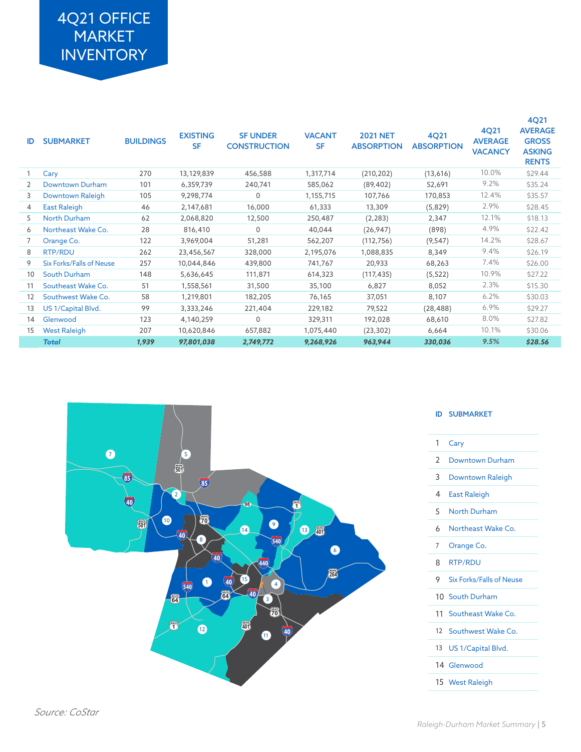# 4Q21 OFFICE MARKET **INVENTORY**

| ID | <b>SUBMARKET</b>                | <b>BUILDINGS</b> | <b>EXISTING</b><br><b>SF</b> | <b>SF UNDER</b><br><b>CONSTRUCTION</b> | <b>VACANT</b><br><b>SF</b> | <b>2021 NET</b><br><b>ABSORPTION</b> | 4Q21<br><b>ABSORPTION</b> | 4Q21<br><b>AVERAGE</b><br><b>VACANCY</b> | <b>4Q21</b><br><b>AVERAGE</b><br><b>GROSS</b><br><b>ASKING</b><br><b>RENTS</b> |
|----|---------------------------------|------------------|------------------------------|----------------------------------------|----------------------------|--------------------------------------|---------------------------|------------------------------------------|--------------------------------------------------------------------------------|
|    | Cary                            | 270              | 13,129,839                   | 456,588                                | 1,317,714                  | (210, 202)                           | (13,616)                  | 10.0%                                    | \$29.44                                                                        |
| 2  | Downtown Durham                 | 101              | 6,359,739                    | 240,741                                | 585,062                    | (89, 402)                            | 52,691                    | 9.2%                                     | \$35.24                                                                        |
| 3  | Downtown Raleigh                | 105              | 9,298,774                    | $\Omega$                               | 1,155,715                  | 107,766                              | 170,853                   | 12.4%                                    | \$35.57                                                                        |
| 4  | <b>East Raleigh</b>             | 46               | 2,147,681                    | 16,000                                 | 61,333                     | 13,309                               | (5,829)                   | 2.9%                                     | \$28.45                                                                        |
| 5  | <b>North Durham</b>             | 62               | 2,068,820                    | 12,500                                 | 250,487                    | (2, 283)                             | 2,347                     | 12.1%                                    | \$18.13                                                                        |
| 6  | Northeast Wake Co.              | 28               | 816,410                      | $\Omega$                               | 40,044                     | (26, 947)                            | (898)                     | 4.9%                                     | \$22.42                                                                        |
| 7  | Orange Co.                      | 122              | 3,969,004                    | 51,281                                 | 562,207                    | (112, 756)                           | (9, 547)                  | 14.2%                                    | \$28.67                                                                        |
| 8  | RTP/RDU                         | 262              | 23,456,567                   | 328,000                                | 2,195,076                  | 1,088,835                            | 8,349                     | 9.4%                                     | \$26.19                                                                        |
| 9  | <b>Six Forks/Falls of Neuse</b> | 257              | 10,044,846                   | 439,800                                | 741,767                    | 20,933                               | 68,263                    | 7.4%                                     | \$26.00                                                                        |
| 10 | South Durham                    | 148              | 5,636,645                    | 111,871                                | 614,323                    | (117, 435)                           | (5, 522)                  | 10.9%                                    | \$27.22                                                                        |
| 11 | Southeast Wake Co.              | 51               | 1,558,561                    | 31,500                                 | 35,100                     | 6,827                                | 8,052                     | 2.3%                                     | \$15.30                                                                        |
| 12 | Southwest Wake Co.              | 58               | 1,219,801                    | 182,205                                | 76,165                     | 37,051                               | 8,107                     | 6.2%                                     | \$30.03                                                                        |
| 13 | US 1/Capital Blvd.              | 99               | 3,333,246                    | 221,404                                | 229,182                    | 79,522                               | (28, 488)                 | 6.9%                                     | \$29.27                                                                        |
| 14 | Glenwood                        | 123              | 4,140,259                    | 0                                      | 329,311                    | 192,028                              | 68,610                    | 8.0%                                     | \$27.82                                                                        |
| 15 | <b>West Raleigh</b>             | 207              | 10,620,846                   | 657,882                                | 1,075,440                  | (23, 302)                            | 6,664                     | 10.1%                                    | \$30.06                                                                        |
|    | <b>Total</b>                    | 1,939            | 97,801,038                   | 2,749,772                              | 9,268,926                  | 963,944                              | 330,036                   | 9.5%                                     | \$28.56                                                                        |